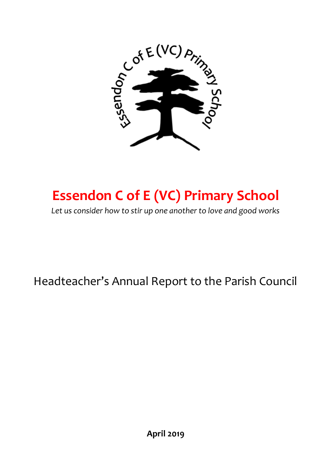

# **Essendon C of E (VC) Primary School**

*Let us consider how to stir up one another to love and good works*

Headteacher's Annual Report to the Parish Council

**April 2019**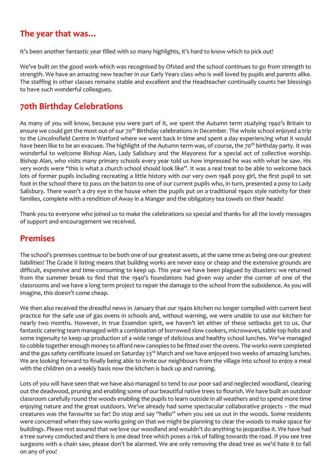## **The year that was…**

It's been another fantastic year filled with so many highlights, it's hard to know which to pick out!

We've built on the good work which was recognised by Ofsted and the school continues to go from strength to strength. We have an amazing new teacher in our Early Years class who is well loved by pupils and parents alike. The staffing in other classes remains stable and excellent and the Headteacher continually counts her blessings to have such wonderful colleagues.

## **70th Birthday Celebrations**

As many of you will know, because you were part of it, we spent the Autumn term studying 1940's Britain to ensure we could get the most out of our 70<sup>th</sup> Birthday celebrations in December. The whole school enjoyed a trip to the Lincolnsfield Centre in Watford where we went back in time and spent a day experiencing what it would have been like to be an evacuee. The highlight of the Autumn term was, of course, the 70<sup>th</sup> birthday party. It was wonderful to welcome Bishop Alan, Lady Salisbury and the Mayoress for a special act of collective worship. Bishop Alan, who visits many primary schools every year told us how impressed he was with what he saw. His very words were "this is what a church school should look like". It was a real treat to be able to welcome back lots of former pupils including recreating a little history with our very own 1948 posy girl, the first pupil to set foot in the school there to pass on the baton to one of our current pupils who, in turn, presented a posy to Lady Salisbury. There wasn't a dry eye in the house when the pupils put on a traditional 1940s style nativity for their families, complete with a rendition of Away in a Manger and the obligatory tea towels on their heads!

Thank you to everyone who joined us to make the celebrations so special and thanks for all the lovely messages of support and encouragement we received.

### **Premises**

The school's premises continue to be both one of our greatest assets, at the same time as being one our greatest liabilities! The Grade II listing means that building works are never easy or cheap and the extensive grounds are difficult, expensive and time-consuming to keep up. This year we have been plagued by disasters: we returned from the summer break to find that the 1940's foundations had given way under the corner of one of the classrooms and we have a long term project to repair the damage to the school from the subsidence. As you will imagine, this doesn't come cheap.

We then also received the dreadful news in January that our 1940s kitchen no longer complied with current best practice for the safe use of gas ovens in schools and, without warning, we were unable to use our kitchen for nearly two months. However, in true Essendon spirit, we haven't let either of these setbacks get to us. Our fantastic catering team managed with a combination of borrowed slow cookers, microwaves, table top hobs and some ingenuity to keep up production of a wide range of delicious and healthy school lunches. We've managed to cobble together enough money to afford new canopies to be fitted over the ovens. The works were completed and the gas safety certificate issued on Saturday 23<sup>rd</sup> March and we have enjoyed two weeks of amazing lunches. We are looking forward to finally being able to invite our neighbours from the village into school to enjoy a meal with the children on a weekly basis now the kitchen is back up and running.

Lots of you will have seen that we have also managed to tend to our poor sad and neglected woodland, clearing out the deadwood, pruning and enabling some of our beautiful native trees to flourish. We have built an outdoor classroom carefully round the woods enabling the pupils to learn outside in all weathers and to spend more time enjoying nature and the great outdoors. We've already had some spectacular collaborative projects – the mud creatures was the favourite so far! Do stop and say "hello" when you see us out in the woods. Some residents were concerned when they saw works going on that we might be planning to clear the woods to make space for buildings. Please rest assured that we love our woodland and wouldn't do anything to jeopardise it. We have had a tree survey conducted and there is one dead tree which poses a risk of falling towards the road. If you see tree surgeons with a chain saw, please don't be alarmed. We are only removing the dead tree as we'd hate it to fall on any of you!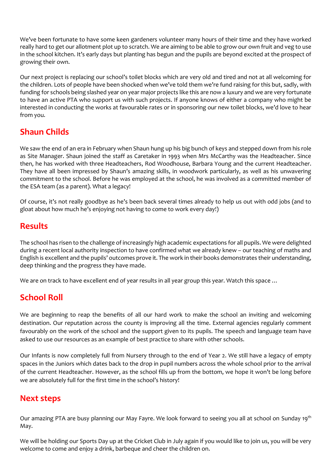We've been fortunate to have some keen gardeners volunteer many hours of their time and they have worked really hard to get our allotment plot up to scratch. We are aiming to be able to grow our own fruit and veg to use in the school kitchen. It's early days but planting has begun and the pupils are beyond excited at the prospect of growing their own.

Our next project is replacing our school's toilet blocks which are very old and tired and not at all welcoming for the children. Lots of people have been shocked when we've told them we're fund raising for this but, sadly, with funding for schools being slashed year on year major projects like this are now a luxury and we are very fortunate to have an active PTA who support us with such projects. If anyone knows of either a company who might be interested in conducting the works at favourable rates or in sponsoring our new toilet blocks, we'd love to hear from you.

# **Shaun Childs**

We saw the end of an era in February when Shaun hung up his big bunch of keys and stepped down from his role as Site Manager. Shaun joined the staff as Caretaker in 1993 when Mrs McCarthy was the Headteacher. Since then, he has worked with three Headteachers, Rod Woodhouse, Barbara Young and the current Headteacher. They have all been impressed by Shaun's amazing skills, in woodwork particularly, as well as his unwavering commitment to the school. Before he was employed at the school, he was involved as a committed member of the ESA team (as a parent). What a legacy!

Of course, it's not really goodbye as he's been back several times already to help us out with odd jobs (and to gloat about how much he's enjoying not having to come to work every day!)

## **Results**

The school has risen to the challenge of increasingly high academic expectations for all pupils. We were delighted during a recent local authority inspection to have confirmed what we already knew – our teaching of maths and English is excellent and the pupils' outcomes prove it. The work in their books demonstrates their understanding, deep thinking and the progress they have made.

We are on track to have excellent end of year results in all year group this year. Watch this space ...

## **School Roll**

We are beginning to reap the benefits of all our hard work to make the school an inviting and welcoming destination. Our reputation across the county is improving all the time. External agencies regularly comment favourably on the work of the school and the support given to its pupils. The speech and language team have asked to use our resources as an example of best practice to share with other schools.

Our Infants is now completely full from Nursery through to the end of Year 2. We still have a legacy of empty spaces in the Juniors which dates back to the drop in pupil numbers across the whole school prior to the arrival of the current Headteacher. However, as the school fills up from the bottom, we hope it won't be long before we are absolutely full for the first time in the school's history!

### **Next steps**

Our amazing PTA are busy planning our May Fayre. We look forward to seeing you all at school on Sunday 19<sup>th</sup> May.

We will be holding our Sports Day up at the Cricket Club in July again if you would like to join us, you will be very welcome to come and enjoy a drink, barbeque and cheer the children on.